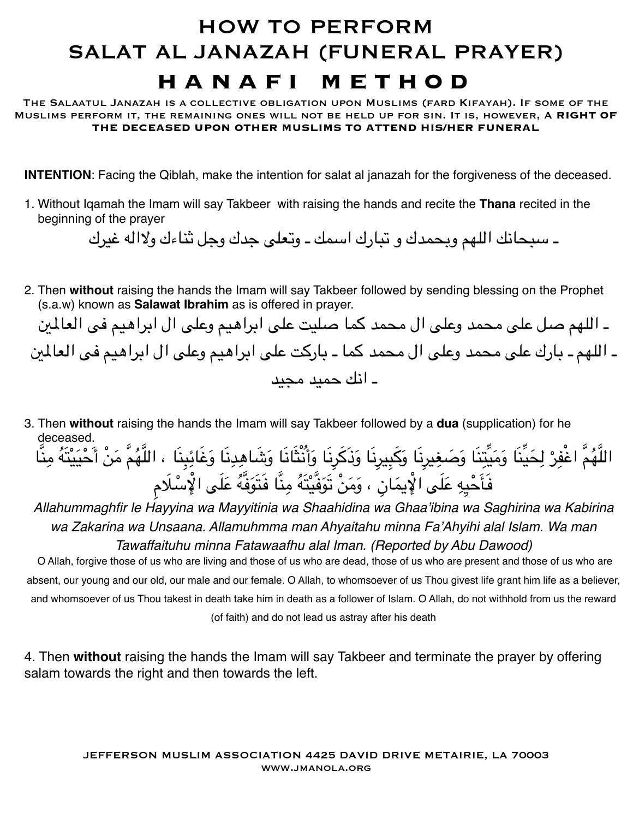## HOW TO PERFORM SALAT AL JANAZAH (FUNERAL PRAYER) **hanafi method**

The Salaatul Janazah is a collective obligation upon Muslims (fard Kifayah). If some of the Muslims perform it, the remaining ones will not be held up for sin. It is, however, A **RIGHT OF THE DECEASED UPON OTHER MUSLIMS TO ATTEND HIS/HER FUNERAL** 

**INTENTION**: Facing the Qiblah, make the intention for salat al janazah for the forgiveness of the deceased.

1. Without Iqamah the Imam will say Takbeer with raising the hands and recite the **Thana** recited in the beginning of the prayer

ـ سبحانك اللهم وبحمدك و تبارك اسمك ـ وتعلى جدك وجل ثناءك ولاله غيرك

2. Then **without** raising the hands the Imam will say Takbeer followed by sending blessing on the Prophet (s.a.w) known as **Salawat Ibrahim** as is offered in prayer.

ـ اللهم صل على محمد وعلى ال محمد كما صليت على ابراهيم وعلى ال ابراهيم فى العالي ـ اللهم ـ بارك على محمد وعلى ال محمد كما ـ باركت على ابراهيم وعلى ال ابراهيم فى العالي ـ انك حميد مجيد

3. Then **without** raising the hands the Imam will say Takbeer followed by a **dua** (supplication) for he deceased.

َاللَّهُمَّ اغْفِرْ لِحَيِّنَا وَمَيِّتِنَا وَصَغِيرِنَا وَذَكَرِنَا وَأَنْثَانَا وَشَاهِدِنَا وَغَائِبِنَا ، اللَّهُمَّ مَنْ أَحْيَيْتَهُ مِنَّا ؘ<br>ׇ֚֚֡֝֟ ِِفَأَحْيِهِ عَلَى الْإِيمَانِ ، وَمَنْ تَوَفَّيْتَهُ مِنَّا فَتَوَفَّهُ عَلَى الْإِسْلَامِ ِِ

*Allahummaghfir le Hayyina wa Mayyitinia wa Shaahidina wa Ghaa'ibina wa Saghirina wa Kabirina wa Zakarina wa Unsaana. Allamuhmma man Ahyaitahu minna Fa'Ahyihi alal Islam. Wa man Tawaffaituhu minna Fatawaafhu alal Iman. (Reported by Abu Dawood)*

 O Allah, forgive those of us who are living and those of us who are dead, those of us who are present and those of us who are absent, our young and our old, our male and our female. O Allah, to whomsoever of us Thou givest life grant him life as a believer, and whomsoever of us Thou takest in death take him in death as a follower of Islam. O Allah, do not withhold from us the reward (of faith) and do not lead us astray after his death

4. Then **without** raising the hands the Imam will say Takbeer and terminate the prayer by offering salam towards the right and then towards the left.